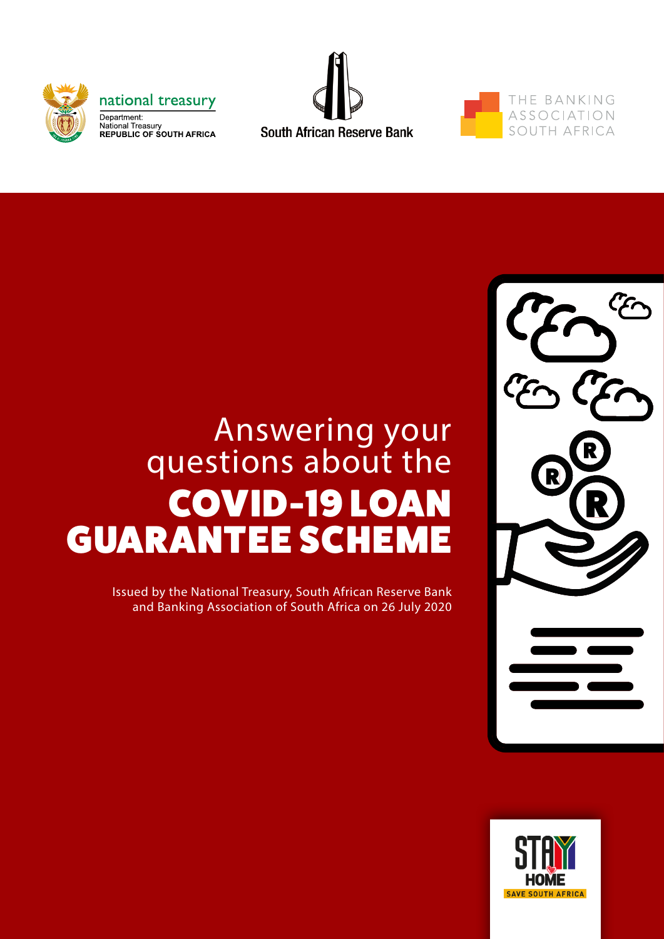





# Answering your questions about the COVID-19 LOAN GUARANTEE SCHEME

Issued by the National Treasury, South African Reserve Bank and Banking Association of South Africa on 26 July 2020



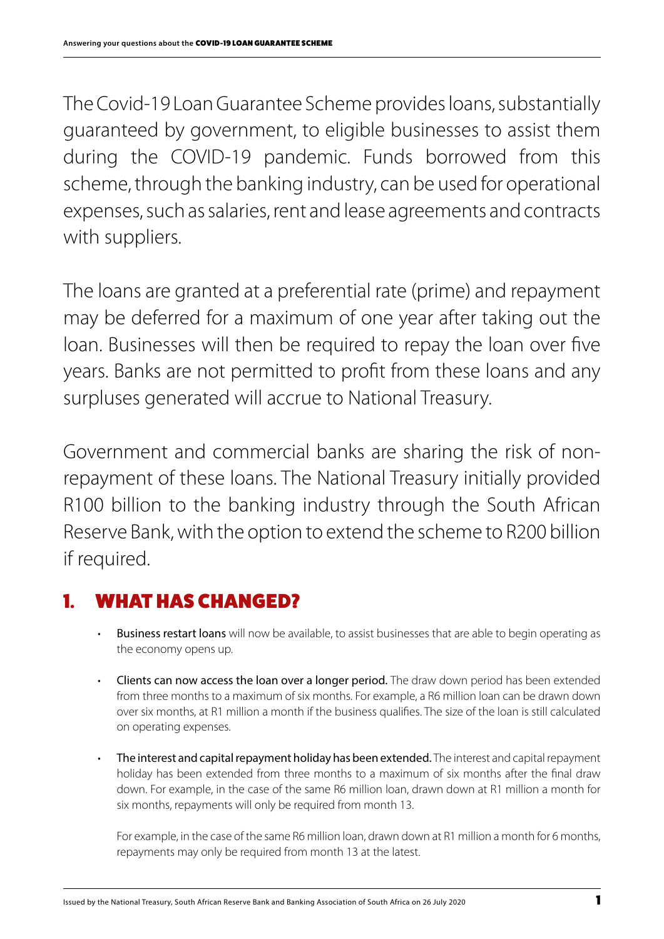The Covid-19 Loan Guarantee Scheme provides loans, substantially guaranteed by government, to eligible businesses to assist them during the COVID-19 pandemic. Funds borrowed from this scheme, through the banking industry, can be used for operational expenses, such as salaries, rent and lease agreements and contracts with suppliers.

The loans are granted at a preferential rate (prime) and repayment may be deferred for a maximum of one year after taking out the loan. Businesses will then be required to repay the loan over five years. Banks are not permitted to profit from these loans and any surpluses generated will accrue to National Treasury.

Government and commercial banks are sharing the risk of nonrepayment of these loans. The National Treasury initially provided R100 billion to the banking industry through the South African Reserve Bank, with the option to extend the scheme to R200 billion if required.

# 1. WHAT HAS CHANGED?

- Business restart loans will now be available, to assist businesses that are able to begin operating as the economy opens up.
- Clients can now access the loan over a longer period. The draw down period has been extended from three months to a maximum of six months. For example, a R6 million loan can be drawn down over six months, at R1 million a month if the business qualifies. The size of the loan is still calculated on operating expenses.
- The interest and capital repayment holiday has been extended. The interest and capital repayment holiday has been extended from three months to a maximum of six months after the final draw down. For example, in the case of the same R6 million loan, drawn down at R1 million a month for six months, repayments will only be required from month 13.

For example, in the case of the same R6 million loan, drawn down at R1 million a month for 6 months, repayments may only be required from month 13 at the latest.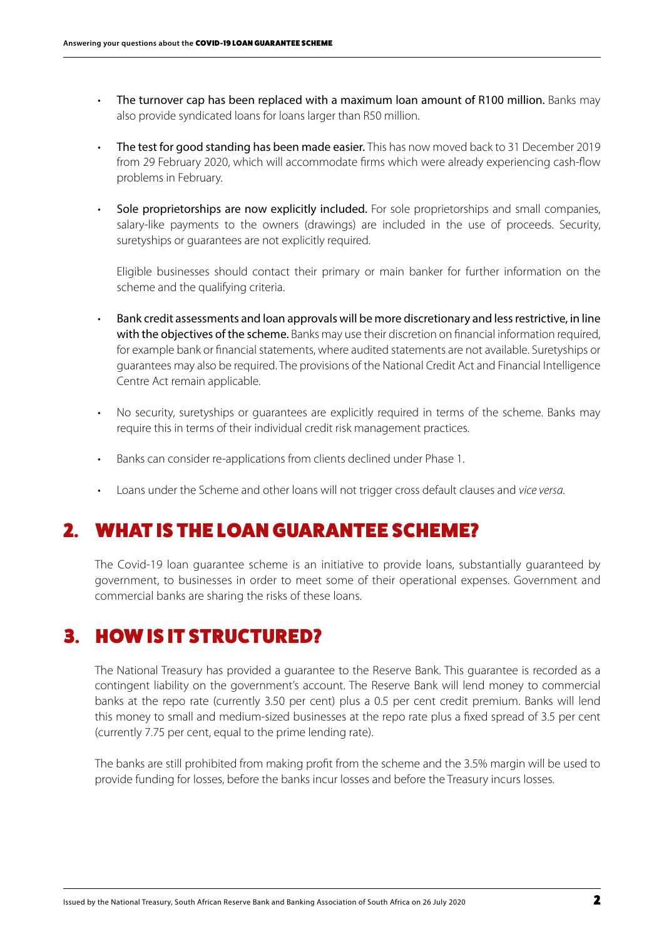- The turnover cap has been replaced with a maximum loan amount of R100 million. Banks may also provide syndicated loans for loans larger than R50 million.
- The test for good standing has been made easier. This has now moved back to 31 December 2019 from 29 February 2020, which will accommodate firms which were already experiencing cash-flow problems in February.
- Sole proprietorships are now explicitly included. For sole proprietorships and small companies, salary-like payments to the owners (drawings) are included in the use of proceeds. Security, suretyships or guarantees are not explicitly required.

Eligible businesses should contact their primary or main banker for further information on the scheme and the qualifying criteria.

- Bank credit assessments and loan approvals will be more discretionary and less restrictive, in line with the objectives of the scheme. Banks may use their discretion on financial information required, for example bank or financial statements, where audited statements are not available. Suretyships or guarantees may also be required. The provisions of the National Credit Act and Financial Intelligence Centre Act remain applicable.
- No security, suretyships or guarantees are explicitly required in terms of the scheme. Banks may require this in terms of their individual credit risk management practices.
- Banks can consider re-applications from clients declined under Phase 1.
- Loans under the Scheme and other loans will not trigger cross default clauses and *vice versa.*

### 2. WHAT IS THE LOAN GUARANTEE SCHEME?

The Covid-19 loan guarantee scheme is an initiative to provide loans, substantially guaranteed by government, to businesses in order to meet some of their operational expenses. Government and commercial banks are sharing the risks of these loans.

### 3. HOW IS IT STRUCTURED?

The National Treasury has provided a guarantee to the Reserve Bank. This guarantee is recorded as a contingent liability on the government's account. The Reserve Bank will lend money to commercial banks at the repo rate (currently 3.50 per cent) plus a 0.5 per cent credit premium. Banks will lend this money to small and medium-sized businesses at the repo rate plus a fixed spread of 3.5 per cent (currently 7.75 per cent, equal to the prime lending rate).

The banks are still prohibited from making profit from the scheme and the 3.5% margin will be used to provide funding for losses, before the banks incur losses and before the Treasury incurs losses.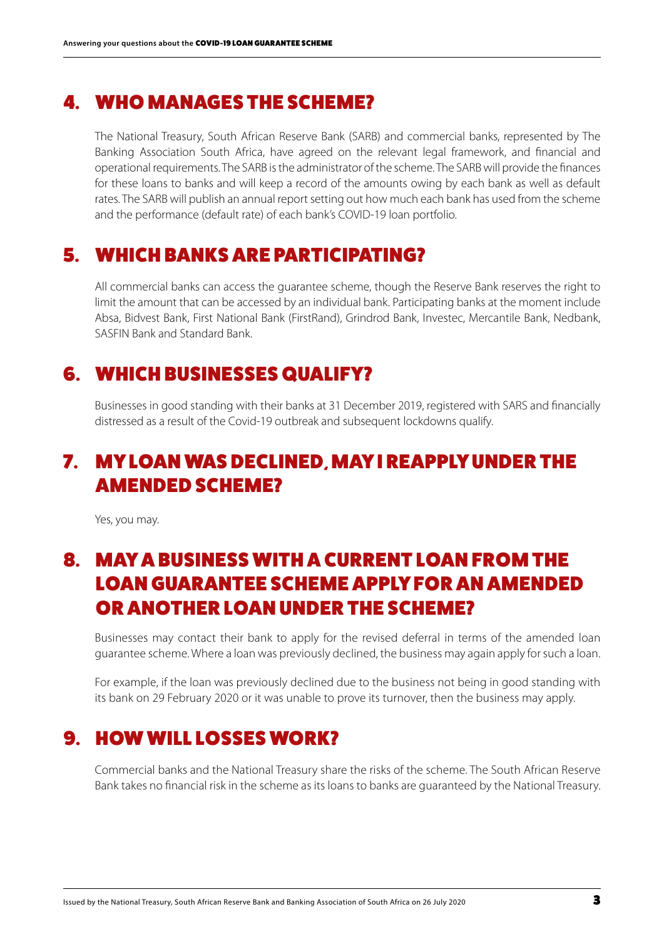#### 4. WHO MANAGES THE SCHEME?

The National Treasury, South African Reserve Bank (SARB) and commercial banks, represented by The Banking Association South Africa, have agreed on the relevant legal framework, and financial and operational requirements. The SARB is the administrator of the scheme. The SARB will provide the finances for these loans to banks and will keep a record of the amounts owing by each bank as well as default rates. The SARB will publish an annual report setting out how much each bank has used from the scheme and the performance (default rate) of each bank's COVID-19 loan portfolio.

#### 5. WHICH BANKS ARE PARTICIPATING?

All commercial banks can access the guarantee scheme, though the Reserve Bank reserves the right to limit the amount that can be accessed by an individual bank. Participating banks at the moment include Absa, Bidvest Bank, First National Bank (FirstRand), Grindrod Bank, Investec, Mercantile Bank, Nedbank, SASFIN Bank and Standard Bank.

### 6. WHICH BUSINESSES QUALIFY?

Businesses in good standing with their banks at 31 December 2019, registered with SARS and financially distressed as a result of the Covid-19 outbreak and subsequent lockdowns qualify.

## 7. MY LOAN WAS DECLINED, MAY I REAPPLY UNDER THE AMENDED SCHEME?

Yes, you may.

## 8. MAY A BUSINESS WITH A CURRENT LOAN FROM THE LOAN GUARANTEE SCHEME APPLY FOR AN AMENDED OR ANOTHER LOAN UNDER THE SCHEME?

Businesses may contact their bank to apply for the revised deferral in terms of the amended loan guarantee scheme. Where a loan was previously declined, the business may again apply for such a loan.

For example, if the loan was previously declined due to the business not being in good standing with its bank on 29 February 2020 or it was unable to prove its turnover, then the business may apply.

## 9. HOW WILL LOSSES WORK?

Commercial banks and the National Treasury share the risks of the scheme. The South African Reserve Bank takes no financial risk in the scheme as its loans to banks are guaranteed by the National Treasury.